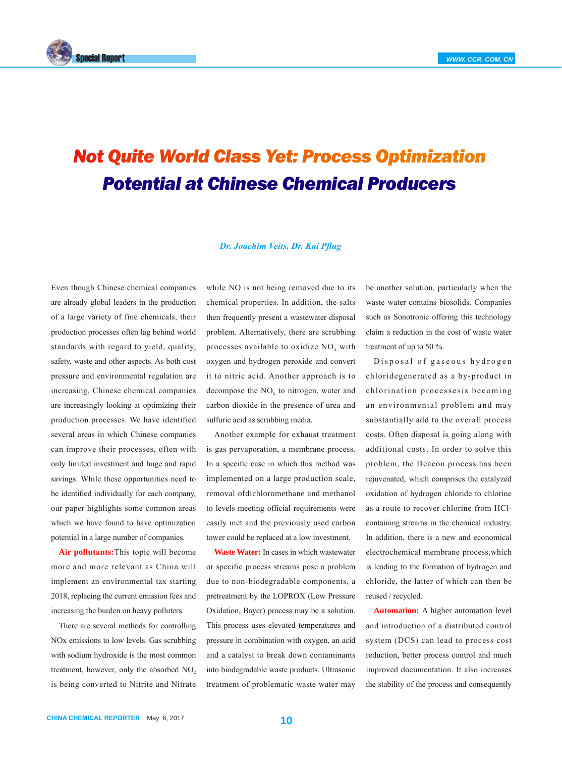

## *Not Quite World Class Yet: Process Optimization Potential at Chinese Chemical Producers*

## *Dr. Joachim Veits, Dr. Kai Pflug*

Even though Chinese chemical companies are already global leaders in the production of a large variety of fine chemicals, their production processes often lag behind world standards with regard to yield, quality, safety, waste and other aspects. As both cost pressure and environmental regulation are increasing, Chinese chemical companies are increasingly looking at optimizing their production processes. We have identified several areas in which Chinese companies can improve their processes, often with only limited investment and huge and rapid savings. While these opportunities need to be identified individually for each company, our paper highlights some common areas which we have found to have optimization potential in a large number of companies.

**Air pollutants:**This topic will become more and more relevant as China will implement an environmental tax starting 2018, replacing the current emission fees and increasing the burden on heavy polluters.

There are several methods for controlling NOx emissions to low levels. Gas scrubbing with sodium hydroxide is the most common treatment, however, only the absorbed  $NO<sub>2</sub>$ is being converted to Nitrite and Nitrate while NO is not being removed due to its chemical properties. In addition, the salts then frequently present a wastewater disposal problem. Alternatively, there are scrubbing processes available to oxidize  $NO<sub>x</sub>$  with oxygen and hydrogen peroxide and convert it to nitric acid. Another approach is to decompose the  $NO<sub>x</sub>$  to nitrogen, water and carbon dioxide in the presence of urea and sulfuric acid as scrubbing media.

Another example for exhaust treatment is gas pervaporation, a membrane process. In a specific case in which this method was implemented on a large production scale, removal ofdichloromethane and methanol to levels meeting official requirements were easily met and the previously used carbon tower could be replaced at a low investment.

**Waste Water:** In cases in which wastewater or specific process streams pose a problem due to non-biodegradable components, a pretreatment by the LOPROX (Low Pressure Oxidation, Bayer) process may be a solution. This process uses elevated temperatures and pressure in combination with oxygen, an acid and a catalyst to break down contaminants into biodegradable waste products. Ultrasonic treatment of problematic waste water may

be another solution, particularly when the waste water contains biosolids. Companies such as Sonotronic offering this technology claim a reduction in the cost of waste water treatment of up to 50 %.

Disposal of gaseous hydrogen chloridegenerated as a by-product in chlorination processesis becoming an environmental problem and may substantially add to the overall process costs. Often disposal is going along with additional costs. In order to solve this problem, the Deacon process has been rejuvenated, which comprises the catalyzed oxidation of hydrogen chloride to chlorine as a route to recover chlorine from HClcontaining streams in the chemical industry. In addition, there is a new and economical electrochemical membrane process,which is leading to the formation of hydrogen and chloride, the latter of which can then be reused / recycled.

**Automation:** A higher automation level and introduction of a distributed control system (DCS) can lead to process cost reduction, better process control and much improved documentation. It also increases the stability of the process and consequently